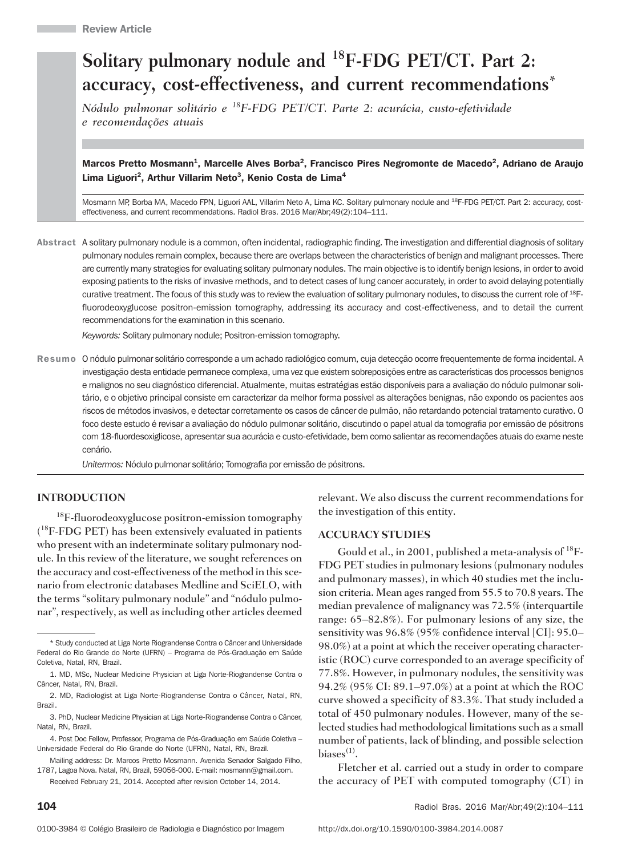# Solitary pulmonary nodule and <sup>18</sup>F-FDG PET/CT. Part 2: accuracy, cost-effectiveness, and current recommendations\*

Nódulo pulmonar solitário e <sup>18</sup>F-FDG PET/CT. Parte 2: acurácia, custo-efetividade e recomendações atuais

Marcos Pretto Mosmann<sup>1</sup>, Marcelle Alves Borba<sup>2</sup>, Francisco Pires Negromonte de Macedo<sup>2</sup>, Adriano de Araujo Lima Liguori<sup>2</sup>, Arthur Villarim Neto<sup>3</sup>, Kenio Costa de Lima<sup>4</sup>

Mosmann MP, Borba MA, Macedo FPN, Liguori AAL, Villarim Neto A, Lima KC. Solitary pulmonary nodule and <sup>18</sup>F-FDG PET/CT. Part 2: accuracy, costeffectiveness, and current recommendations. Radiol Bras. 2016 Mar/Abr;49(2):104–111.

Abstract A solitary pulmonary nodule is a common, often incidental, radiographic finding. The investigation and differential diagnosis of solitary pulmonary nodules remain complex, because there are overlaps between the characteristics of benign and malignant processes. There are currently many strategies for evaluating solitary pulmonary nodules. The main objective is to identify benign lesions, in order to avoid exposing patients to the risks of invasive methods, and to detect cases of lung cancer accurately, in order to avoid delaying potentially curative treatment. The focus of this study was to review the evaluation of solitary pulmonary nodules, to discuss the current role of <sup>18</sup>Ffluorodeoxyglucose positron-emission tomography, addressing its accuracy and cost-effectiveness, and to detail the current recommendations for the examination in this scenario.

Keywords: Solitary pulmonary nodule; Positron-emission tomography.

Resumo O nódulo pulmonar solitário corresponde a um achado radiológico comum, cuja detecção ocorre frequentemente de forma incidental. A investigação desta entidade permanece complexa, uma vez que existem sobreposições entre as características dos processos benignos e malignos no seu diagnóstico diferencial. Atualmente, muitas estratégias estão disponíveis para a avaliação do nódulo pulmonar solitário, e o objetivo principal consiste em caracterizar da melhor forma possível as alterações benignas, não expondo os pacientes aos riscos de métodos invasivos, e detectar corretamente os casos de câncer de pulmão, não retardando potencial tratamento curativo. O foco deste estudo é revisar a avaliação do nódulo pulmonar solitário, discutindo o papel atual da tomografia por emissão de pósitrons com 18-fluordesoxiglicose, apresentar sua acurácia e custo-efetividade, bem como salientar as recomendações atuais do exame neste cenário.

Unitermos: Nódulo pulmonar solitário; Tomografia por emissão de pósitrons.

#### INTRODUCTION

<sup>18</sup>F-fluorodeoxyglucose positron-emission tomography ( <sup>18</sup>F-FDG PET) has been extensively evaluated in patients who present with an indeterminate solitary pulmonary nodule. In this review of the literature, we sought references on the accuracy and cost-effectiveness of the method in this scenario from electronic databases Medline and SciELO, with the terms "solitary pulmonary nodule" and "nódulo pulmonar", respectively, as well as including other articles deemed relevant. We also discuss the current recommendations for the investigation of this entity.

#### ACCURACY STUDIES

Gould et al., in 2001, published a meta-analysis of <sup>18</sup>F-FDG PET studies in pulmonary lesions (pulmonary nodules and pulmonary masses), in which 40 studies met the inclusion criteria. Mean ages ranged from 55.5 to 70.8 years. The median prevalence of malignancy was 72.5% (interquartile range: 65–82.8%). For pulmonary lesions of any size, the sensitivity was 96.8% (95% confidence interval [CI]: 95.0– 98.0%) at a point at which the receiver operating characteristic (ROC) curve corresponded to an average specificity of 77.8%. However, in pulmonary nodules, the sensitivity was 94.2% (95% CI: 89.1–97.0%) at a point at which the ROC curve showed a specificity of 83.3%. That study included a total of 450 pulmonary nodules. However, many of the selected studies had methodological limitations such as a small number of patients, lack of blinding, and possible selection biases $^{(1)}$ .

Fletcher et al. carried out a study in order to compare the accuracy of PET with computed tomography (CT) in

<sup>\*</sup> Study conducted at Liga Norte Riograndense Contra o Câncer and Universidade Federal do Rio Grande do Norte (UFRN) – Programa de Pós-Graduação em Saúde Coletiva, Natal, RN, Brazil.

<sup>1.</sup> MD, MSc, Nuclear Medicine Physician at Liga Norte-Riograndense Contra o Câncer, Natal, RN, Brazil.

<sup>2.</sup> MD, Radiologist at Liga Norte-Riograndense Contra o Câncer, Natal, RN, Brazil.

<sup>3.</sup> PhD, Nuclear Medicine Physician at Liga Norte-Riograndense Contra o Câncer, Natal, RN, Brazil.

<sup>4.</sup> Post Doc Fellow, Professor, Programa de Pós-Graduação em Saúde Coletiva – Universidade Federal do Rio Grande do Norte (UFRN), Natal, RN, Brazil.

Mailing address: Dr. Marcos Pretto Mosmann. Avenida Senador Salgado Filho, 1787, Lagoa Nova. Natal, RN, Brazil, 59056-000. E-mail: mosmann@gmail.com.

Received February 21, 2014. Accepted after revision October 14, 2014.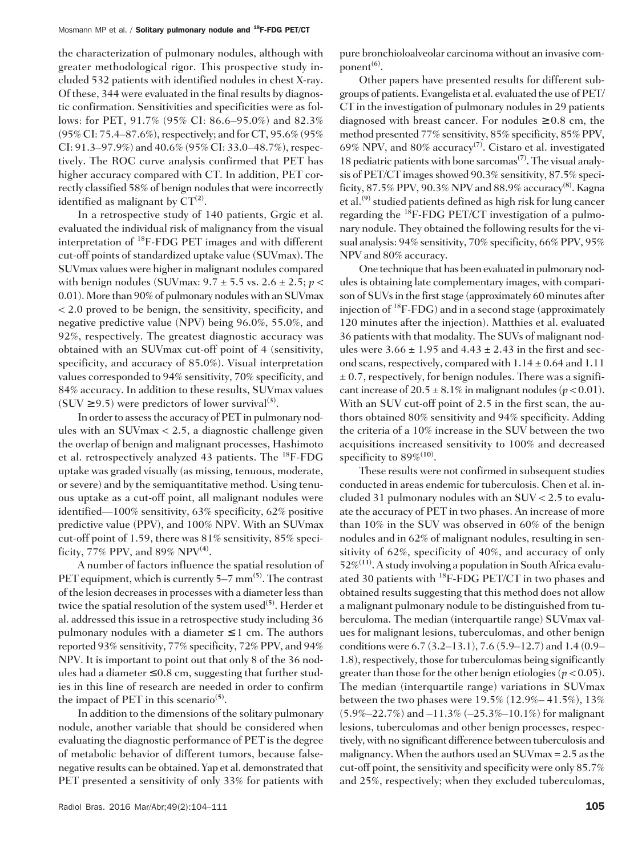#### Mosmann MP et al. / Solitary pulmonary nodule and <sup>18</sup>F-FDG PET/CT

the characterization of pulmonary nodules, although with greater methodological rigor. This prospective study included 532 patients with identified nodules in chest X-ray. Of these, 344 were evaluated in the final results by diagnostic confirmation. Sensitivities and specificities were as follows: for PET, 91.7% (95% CI: 86.6–95.0%) and 82.3% (95% CI: 75.4–87.6%), respectively; and for CT, 95.6% (95% CI: 91.3–97.9%) and 40.6% (95% CI: 33.0–48.7%), respectively. The ROC curve analysis confirmed that PET has higher accuracy compared with CT. In addition, PET correctly classified 58% of benign nodules that were incorrectly identified as malignant by  $CT^{(2)}$ .

In a retrospective study of 140 patients, Grgic et al. evaluated the individual risk of malignancy from the visual interpretation of <sup>18</sup>F-FDG PET images and with different cut-off points of standardized uptake value (SUVmax). The SUVmax values were higher in malignant nodules compared with benign nodules (SUVmax:  $9.7 \pm 5.5$  vs.  $2.6 \pm 2.5$ ;  $p \lt 1$ 0.01). More than 90% of pulmonary nodules with an SUVmax < 2.0 proved to be benign, the sensitivity, specificity, and negative predictive value (NPV) being 96.0%, 55.0%, and 92%, respectively. The greatest diagnostic accuracy was obtained with an SUVmax cut-off point of 4 (sensitivity, specificity, and accuracy of 85.0%). Visual interpretation values corresponded to 94% sensitivity, 70% specificity, and 84% accuracy. In addition to these results, SUVmax values  $(SUV \ge 9.5)$  were predictors of lower survival<sup>(3)</sup>.

In order to assess the accuracy of PET in pulmonary nodules with an SUVmax < 2.5, a diagnostic challenge given the overlap of benign and malignant processes, Hashimoto et al. retrospectively analyzed 43 patients. The <sup>18</sup>F-FDG uptake was graded visually (as missing, tenuous, moderate, or severe) and by the semiquantitative method. Using tenuous uptake as a cut-off point, all malignant nodules were identified—100% sensitivity, 63% specificity, 62% positive predictive value (PPV), and 100% NPV. With an SUVmax cut-off point of 1.59, there was 81% sensitivity, 85% specificity, 77% PPV, and 89% NPV<sup>(4)</sup>.

A number of factors influence the spatial resolution of PET equipment, which is currently  $5-7$  mm<sup>(5)</sup>. The contrast of the lesion decreases in processes with a diameter less than twice the spatial resolution of the system used<sup>(5)</sup>. Herder et al. addressed this issue in a retrospective study including 36 pulmonary nodules with a diameter  $\leq 1$  cm. The authors reported 93% sensitivity, 77% specificity, 72% PPV, and 94% NPV. It is important to point out that only 8 of the 36 nodules had a diameter  $\leq 0.8$  cm, suggesting that further studies in this line of research are needed in order to confirm the impact of PET in this scenario<sup>(5)</sup>.

In addition to the dimensions of the solitary pulmonary nodule, another variable that should be considered when evaluating the diagnostic performance of PET is the degree of metabolic behavior of different tumors, because falsenegative results can be obtained. Yap et al. demonstrated that PET presented a sensitivity of only 33% for patients with

pure bronchioloalveolar carcinoma without an invasive component $^{(6)}$ .

Other papers have presented results for different subgroups of patients. Evangelista et al. evaluated the use of PET/ CT in the investigation of pulmonary nodules in 29 patients diagnosed with breast cancer. For nodules  $\geq 0.8$  cm, the method presented 77% sensitivity, 85% specificity, 85% PPV, 69% NPV, and 80% accuracy<sup>(7)</sup>. Cistaro et al. investigated 18 pediatric patients with bone sarcomas<sup> $(7)$ </sup>. The visual analysis of PET/CT images showed 90.3% sensitivity, 87.5% specificity, 87.5% PPV, 90.3% NPV and 88.9% accuracy<sup>(8)</sup>. Kagna et al.<sup>(9)</sup> studied patients defined as high risk for lung cancer regarding the  ${}^{18}$ F-FDG PET/CT investigation of a pulmonary nodule. They obtained the following results for the visual analysis: 94% sensitivity, 70% specificity, 66% PPV, 95% NPV and 80% accuracy.

One technique that has been evaluated in pulmonary nodules is obtaining late complementary images, with comparison of SUVs in the first stage (approximately 60 minutes after injection of  ${}^{18}F$ -FDG) and in a second stage (approximately 120 minutes after the injection). Matthies et al. evaluated 36 patients with that modality. The SUVs of malignant nodules were  $3.66 \pm 1.95$  and  $4.43 \pm 2.43$  in the first and second scans, respectively, compared with  $1.14 \pm 0.64$  and  $1.11$  $\pm$  0.7, respectively, for benign nodules. There was a significant increase of  $20.5 \pm 8.1\%$  in malignant nodules ( $p < 0.01$ ). With an SUV cut-off point of 2.5 in the first scan, the authors obtained 80% sensitivity and 94% specificity. Adding the criteria of a 10% increase in the SUV between the two acquisitions increased sensitivity to 100% and decreased specificity to  $89\%^{(10)}$ .

These results were not confirmed in subsequent studies conducted in areas endemic for tuberculosis. Chen et al. included 31 pulmonary nodules with an SUV < 2.5 to evaluate the accuracy of PET in two phases. An increase of more than 10% in the SUV was observed in 60% of the benign nodules and in 62% of malignant nodules, resulting in sensitivity of 62%, specificity of 40%, and accuracy of only  $52\%^{(11)}$ . A study involving a population in South Africa evaluated 30 patients with <sup>18</sup>F-FDG PET/CT in two phases and obtained results suggesting that this method does not allow a malignant pulmonary nodule to be distinguished from tuberculoma. The median (interquartile range) SUVmax values for malignant lesions, tuberculomas, and other benign conditions were 6.7 (3.2–13.1), 7.6 (5.9–12.7) and 1.4 (0.9– 1.8), respectively, those for tuberculomas being significantly greater than those for the other benign etiologies ( $p < 0.05$ ). The median (interquartile range) variations in SUVmax between the two phases were 19.5% (12.9%– 41.5%), 13%  $(5.9\% - 22.7\%)$  and  $-11.3\%$  ( $-25.3\% - 10.1\%$ ) for malignant lesions, tuberculomas and other benign processes, respectively, with no significant difference between tuberculosis and malignancy. When the authors used an SUVmax = 2.5 as the cut-off point, the sensitivity and specificity were only 85.7% and 25%, respectively; when they excluded tuberculomas,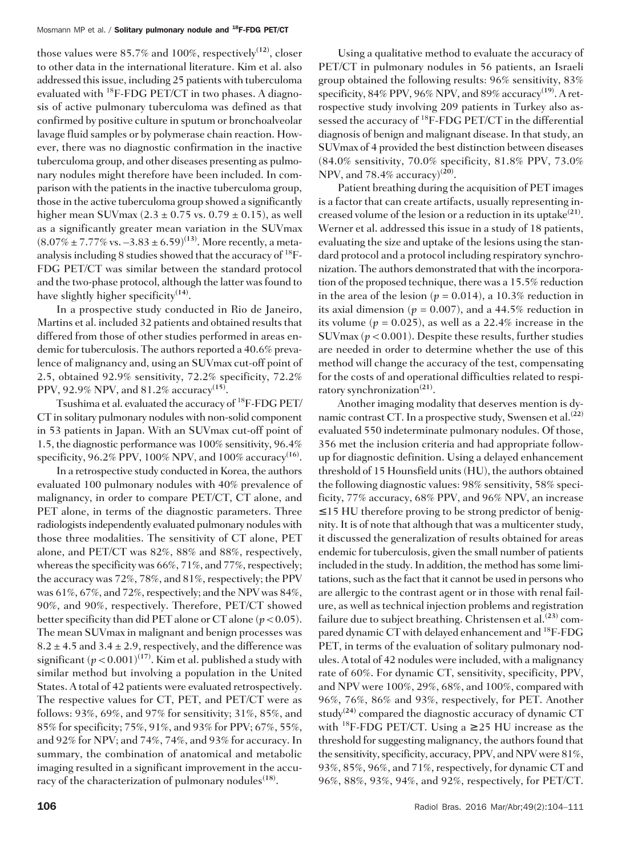those values were  $85.7\%$  and  $100\%$ , respectively<sup>(12)</sup>, closer to other data in the international literature. Kim et al. also addressed this issue, including 25 patients with tuberculoma evaluated with <sup>18</sup>F-FDG PET/CT in two phases. A diagnosis of active pulmonary tuberculoma was defined as that confirmed by positive culture in sputum or bronchoalveolar lavage fluid samples or by polymerase chain reaction. However, there was no diagnostic confirmation in the inactive tuberculoma group, and other diseases presenting as pulmonary nodules might therefore have been included. In comparison with the patients in the inactive tuberculoma group, those in the active tuberculoma group showed a significantly higher mean SUVmax  $(2.3 \pm 0.75 \text{ vs. } 0.79 \pm 0.15)$ , as well as a significantly greater mean variation in the SUVmax  $(8.07\% \pm 7.77\% \text{ vs. } -3.83 \pm 6.59)^{(13)}$ . More recently, a metaanalysis including 8 studies showed that the accuracy of <sup>18</sup>F-FDG PET/CT was similar between the standard protocol and the two-phase protocol, although the latter was found to have slightly higher specificity<sup>(14)</sup>.

In a prospective study conducted in Rio de Janeiro, Martins et al. included 32 patients and obtained results that differed from those of other studies performed in areas endemic for tuberculosis. The authors reported a 40.6% prevalence of malignancy and, using an SUVmax cut-off point of 2.5, obtained 92.9% sensitivity, 72.2% specificity, 72.2% PPV, 92.9% NPV, and 81.2% accuracy(15).

Tsushima et al. evaluated the accuracy of <sup>18</sup>F-FDG PET/ CT in solitary pulmonary nodules with non-solid component in 53 patients in Japan. With an SUVmax cut-off point of 1.5, the diagnostic performance was 100% sensitivity, 96.4% specificity, 96.2% PPV, 100% NPV, and 100% accuracy<sup>(16)</sup>.

In a retrospective study conducted in Korea, the authors evaluated 100 pulmonary nodules with 40% prevalence of malignancy, in order to compare PET/CT, CT alone, and PET alone, in terms of the diagnostic parameters. Three radiologists independently evaluated pulmonary nodules with those three modalities. The sensitivity of CT alone, PET alone, and PET/CT was 82%, 88% and 88%, respectively, whereas the specificity was 66%, 71%, and 77%, respectively; the accuracy was 72%, 78%, and 81%, respectively; the PPV was 61%, 67%, and 72%, respectively; and the NPV was 84%, 90%, and 90%, respectively. Therefore, PET/CT showed better specificity than did PET alone or CT alone ( $p < 0.05$ ). The mean SUVmax in malignant and benign processes was  $8.2 \pm 4.5$  and  $3.4 \pm 2.9$ , respectively, and the difference was significant  $(p < 0.001)^{(17)}$ . Kim et al. published a study with similar method but involving a population in the United States. A total of 42 patients were evaluated retrospectively. The respective values for CT, PET, and PET/CT were as follows: 93%, 69%, and 97% for sensitivity; 31%, 85%, and 85% for specificity; 75%, 91%, and 93% for PPV; 67%, 55%, and 92% for NPV; and 74%, 74%, and 93% for accuracy. In summary, the combination of anatomical and metabolic imaging resulted in a significant improvement in the accuracy of the characterization of pulmonary nodules<sup> $(18)$ </sup>.

Using a qualitative method to evaluate the accuracy of PET/CT in pulmonary nodules in 56 patients, an Israeli group obtained the following results: 96% sensitivity, 83% specificity,  $84\%$  PPV,  $96\%$  NPV, and  $89\%$  accuracy<sup>(19)</sup>. A retrospective study involving 209 patients in Turkey also assessed the accuracy of <sup>18</sup>F-FDG PET/CT in the differential diagnosis of benign and malignant disease. In that study, an SUVmax of 4 provided the best distinction between diseases (84.0% sensitivity, 70.0% specificity, 81.8% PPV, 73.0% NPV, and 78.4% accuracy $(20)$ .

Patient breathing during the acquisition of PET images is a factor that can create artifacts, usually representing increased volume of the lesion or a reduction in its uptake<sup>(21)</sup>. Werner et al. addressed this issue in a study of 18 patients, evaluating the size and uptake of the lesions using the standard protocol and a protocol including respiratory synchronization. The authors demonstrated that with the incorporation of the proposed technique, there was a 15.5% reduction in the area of the lesion ( $p = 0.014$ ), a 10.3% reduction in its axial dimension ( $p = 0.007$ ), and a 44.5% reduction in its volume ( $p = 0.025$ ), as well as a 22.4% increase in the SUV $\max (p < 0.001)$ . Despite these results, further studies are needed in order to determine whether the use of this method will change the accuracy of the test, compensating for the costs of and operational difficulties related to respiratory synchronization<sup>(21)</sup>.

Another imaging modality that deserves mention is dynamic contrast CT. In a prospective study, Swensen et al.<sup>(22)</sup> evaluated 550 indeterminate pulmonary nodules. Of those, 356 met the inclusion criteria and had appropriate followup for diagnostic definition. Using a delayed enhancement threshold of 15 Hounsfield units (HU), the authors obtained the following diagnostic values: 98% sensitivity, 58% specificity, 77% accuracy, 68% PPV, and 96% NPV, an increase ≤ 15 HU therefore proving to be strong predictor of benignity. It is of note that although that was a multicenter study, it discussed the generalization of results obtained for areas endemic for tuberculosis, given the small number of patients included in the study. In addition, the method has some limitations, such as the fact that it cannot be used in persons who are allergic to the contrast agent or in those with renal failure, as well as technical injection problems and registration failure due to subject breathing. Christensen et al.<sup>(23)</sup> compared dynamic CT with delayed enhancement and <sup>18</sup>F-FDG PET, in terms of the evaluation of solitary pulmonary nodules. A total of 42 nodules were included, with a malignancy rate of 60%. For dynamic CT, sensitivity, specificity, PPV, and NPV were 100%, 29%, 68%, and 100%, compared with 96%, 76%, 86% and 93%, respectively, for PET. Another study<sup>(24)</sup> compared the diagnostic accuracy of dynamic CT with <sup>18</sup>F-FDG PET/CT. Using a  $\geq$  25 HU increase as the threshold for suggesting malignancy, the authors found that the sensitivity, specificity, accuracy, PPV, and NPV were 81%, 93%, 85%, 96%, and 71%, respectively, for dynamic CT and 96%, 88%, 93%, 94%, and 92%, respectively, for PET/CT.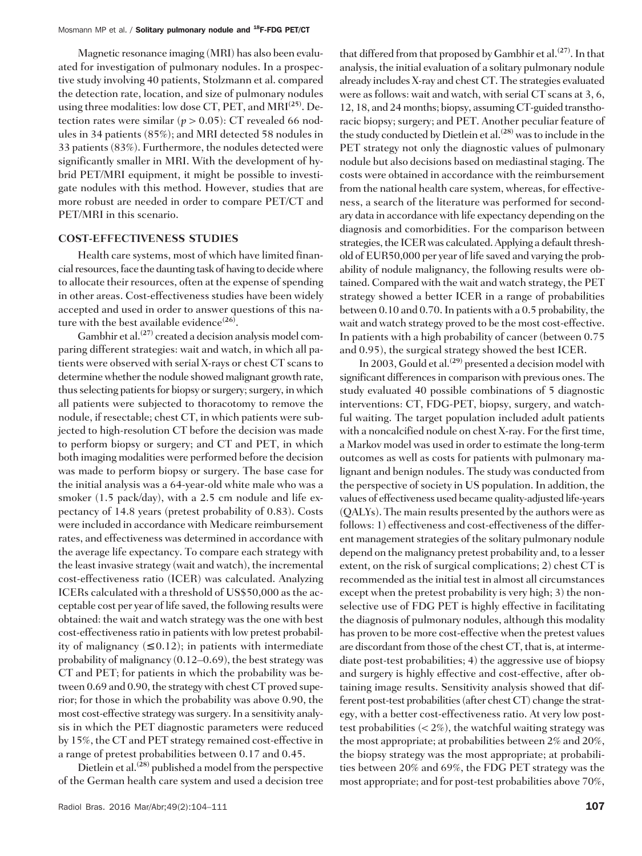Magnetic resonance imaging (MRI) has also been evaluated for investigation of pulmonary nodules. In a prospective study involving 40 patients, Stolzmann et al. compared the detection rate, location, and size of pulmonary nodules using three modalities: low dose CT, PET, and  $MRI^{(25)}$ . Detection rates were similar ( $p > 0.05$ ): CT revealed 66 nodules in 34 patients (85%); and MRI detected 58 nodules in 33 patients (83%). Furthermore, the nodules detected were significantly smaller in MRI. With the development of hybrid PET/MRI equipment, it might be possible to investigate nodules with this method. However, studies that are more robust are needed in order to compare PET/CT and PET/MRI in this scenario.

### COST-EFFECTIVENESS STUDIES

Health care systems, most of which have limited financial resources, face the daunting task of having to decide where to allocate their resources, often at the expense of spending in other areas. Cost-effectiveness studies have been widely accepted and used in order to answer questions of this nature with the best available evidence<sup>(26)</sup>.

Gambhir et al.<sup> $(27)$ </sup> created a decision analysis model comparing different strategies: wait and watch, in which all patients were observed with serial X-rays or chest CT scans to determine whether the nodule showed malignant growth rate, thus selecting patients for biopsy or surgery; surgery, in which all patients were subjected to thoracotomy to remove the nodule, if resectable; chest CT, in which patients were subjected to high-resolution CT before the decision was made to perform biopsy or surgery; and CT and PET, in which both imaging modalities were performed before the decision was made to perform biopsy or surgery. The base case for the initial analysis was a 64-year-old white male who was a smoker (1.5 pack/day), with a 2.5 cm nodule and life expectancy of 14.8 years (pretest probability of 0.83). Costs were included in accordance with Medicare reimbursement rates, and effectiveness was determined in accordance with the average life expectancy. To compare each strategy with the least invasive strategy (wait and watch), the incremental cost-effectiveness ratio (ICER) was calculated. Analyzing ICERs calculated with a threshold of US\$50,000 as the acceptable cost per year of life saved, the following results were obtained: the wait and watch strategy was the one with best cost-effectiveness ratio in patients with low pretest probability of malignancy  $(\leq 0.12)$ ; in patients with intermediate probability of malignancy (0.12–0.69), the best strategy was CT and PET; for patients in which the probability was between 0.69 and 0.90, the strategy with chest CT proved superior; for those in which the probability was above 0.90, the most cost-effective strategy was surgery. In a sensitivity analysis in which the PET diagnostic parameters were reduced by 15%, the CT and PET strategy remained cost-effective in a range of pretest probabilities between 0.17 and 0.45.

Dietlein et al.<sup> $(28)$ </sup> published a model from the perspective of the German health care system and used a decision tree that differed from that proposed by Gambhir et al.<sup>(27)</sup>. In that analysis, the initial evaluation of a solitary pulmonary nodule already includes X-ray and chest CT. The strategies evaluated were as follows: wait and watch, with serial CT scans at 3, 6, 12, 18, and 24 months; biopsy, assuming CT-guided transthoracic biopsy; surgery; and PET. Another peculiar feature of the study conducted by Dietlein et al.<sup>(28)</sup> was to include in the PET strategy not only the diagnostic values of pulmonary nodule but also decisions based on mediastinal staging. The costs were obtained in accordance with the reimbursement from the national health care system, whereas, for effectiveness, a search of the literature was performed for secondary data in accordance with life expectancy depending on the diagnosis and comorbidities. For the comparison between strategies, the ICER was calculated. Applying a default threshold of EUR50,000 per year of life saved and varying the probability of nodule malignancy, the following results were obtained. Compared with the wait and watch strategy, the PET strategy showed a better ICER in a range of probabilities between 0.10 and 0.70. In patients with a 0.5 probability, the wait and watch strategy proved to be the most cost-effective. In patients with a high probability of cancer (between 0.75 and 0.95), the surgical strategy showed the best ICER.

In 2003, Gould et al.<sup>(29)</sup> presented a decision model with significant differences in comparison with previous ones. The study evaluated 40 possible combinations of 5 diagnostic interventions: CT, FDG-PET, biopsy, surgery, and watchful waiting. The target population included adult patients with a noncalcified nodule on chest X-ray. For the first time, a Markov model was used in order to estimate the long-term outcomes as well as costs for patients with pulmonary malignant and benign nodules. The study was conducted from the perspective of society in US population. In addition, the values of effectiveness used became quality-adjusted life-years (QALYs). The main results presented by the authors were as follows: 1) effectiveness and cost-effectiveness of the different management strategies of the solitary pulmonary nodule depend on the malignancy pretest probability and, to a lesser extent, on the risk of surgical complications; 2) chest CT is recommended as the initial test in almost all circumstances except when the pretest probability is very high; 3) the nonselective use of FDG PET is highly effective in facilitating the diagnosis of pulmonary nodules, although this modality has proven to be more cost-effective when the pretest values are discordant from those of the chest CT, that is, at intermediate post-test probabilities; 4) the aggressive use of biopsy and surgery is highly effective and cost-effective, after obtaining image results. Sensitivity analysis showed that different post-test probabilities (after chest CT) change the strategy, with a better cost-effectiveness ratio. At very low posttest probabilities  $\left\langle \langle 2\% \rangle \right\rangle$ , the watchful waiting strategy was the most appropriate; at probabilities between 2% and 20%, the biopsy strategy was the most appropriate; at probabilities between 20% and 69%, the FDG PET strategy was the most appropriate; and for post-test probabilities above 70%,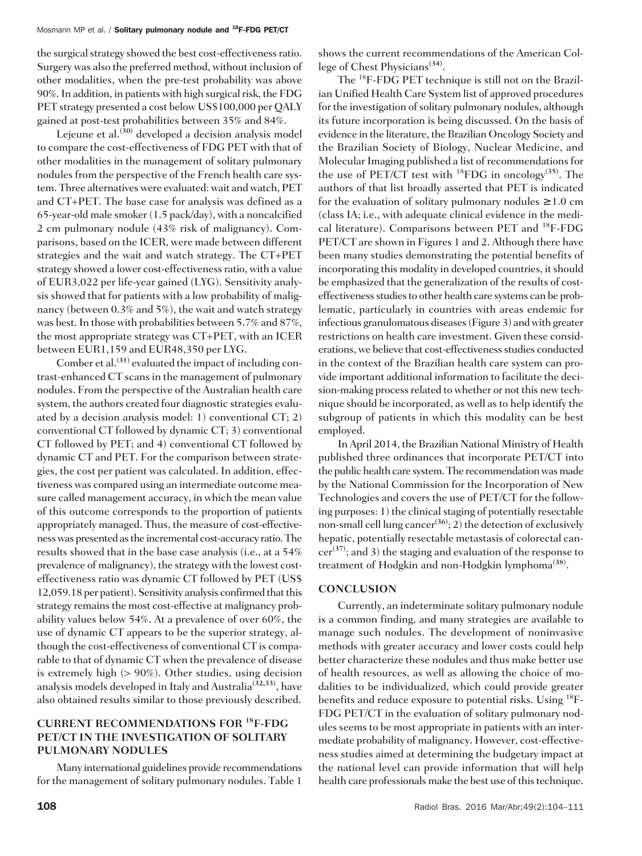the surgical strategy showed the best cost-effectiveness ratio. Surgery was also the preferred method, without inclusion of other modalities, when the pre-test probability was above 90%. In addition, in patients with high surgical risk, the FDG PET strategy presented a cost below US\$100,000 per QALY gained at post-test probabilities between 35% and 84%.

Leieune et al.<sup>(30)</sup> developed a decision analysis model to compare the cost-effectiveness of FDG PET with that of other modalities in the management of solitary pulmonary nodules from the perspective of the French health care system. Three alternatives were evaluated: wait and watch, PET and CT+PET. The base case for analysis was defined as a 65-year-old male smoker (1.5 pack/day), with a noncalcified 2 cm pulmonary nodule (43% risk of malignancy). Comparisons, based on the ICER, were made between different strategies and the wait and watch strategy. The CT+PET strategy showed a lower cost-effectiveness ratio, with a value of EUR3,022 per life-year gained (LYG). Sensitivity analysis showed that for patients with a low probability of malignancy (between 0.3% and 5%), the wait and watch strategy was best. In those with probabilities between 5.7% and 87%, the most appropriate strategy was CT+PET, with an ICER between EUR1,159 and EUR48,350 per LYG.

Comber et al. $(31)$  evaluated the impact of including contrast-enhanced CT scans in the management of pulmonary nodules. From the perspective of the Australian health care system, the authors created four diagnostic strategies evaluated by a decision analysis model: 1) conventional CT; 2) conventional CT followed by dynamic CT; 3) conventional CT followed by PET; and 4) conventional CT followed by dynamic CT and PET. For the comparison between strategies, the cost per patient was calculated. In addition, effectiveness was compared using an intermediate outcome measure called management accuracy, in which the mean value of this outcome corresponds to the proportion of patients appropriately managed. Thus, the measure of cost-effectiveness was presented as the incremental cost-accuracy ratio. The results showed that in the base case analysis (i.e., at a 54% prevalence of malignancy), the strategy with the lowest costeffectiveness ratio was dynamic CT followed by PET (US\$ 12,059.18 per patient). Sensitivity analysis confirmed that this strategy remains the most cost-effective at malignancy probability values below 54%. At a prevalence of over 60%, the use of dynamic CT appears to be the superior strategy, although the cost-effectiveness of conventional CT is comparable to that of dynamic CT when the prevalence of disease is extremely high (> 90%). Other studies, using decision analysis models developed in Italy and Australia<sup>(32,33)</sup>, have also obtained results similar to those previously described.

## CURRENT RECOMMENDATIONS FOR <sup>18</sup>F-FDG PET/CT IN THE INVESTIGATION OF SOLITARY PULMONARY NODULES

Many international guidelines provide recommendations for the management of solitary pulmonary nodules. Table 1

shows the current recommendations of the American College of Chest Physicians<sup>(34)</sup>.

The <sup>18</sup>F-FDG PET technique is still not on the Brazilian Unified Health Care System list of approved procedures for the investigation of solitary pulmonary nodules, although its future incorporation is being discussed. On the basis of evidence in the literature, the Brazilian Oncology Society and the Brazilian Society of Biology, Nuclear Medicine, and Molecular Imaging published a list of recommendations for the use of PET/CT test with  $^{18}$ FDG in oncology<sup>(35)</sup>. The authors of that list broadly asserted that PET is indicated for the evaluation of solitary pulmonary nodules  $\geq 1.0$  cm (class IA; i.e., with adequate clinical evidence in the medical literature). Comparisons between PET and <sup>18</sup>F-FDG PET/CT are shown in Figures 1 and 2. Although there have been many studies demonstrating the potential benefits of incorporating this modality in developed countries, it should be emphasized that the generalization of the results of costeffectiveness studies to other health care systems can be problematic, particularly in countries with areas endemic for infectious granulomatous diseases (Figure 3) and with greater restrictions on health care investment. Given these considerations, we believe that cost-effectiveness studies conducted in the context of the Brazilian health care system can provide important additional information to facilitate the decision-making process related to whether or not this new technique should be incorporated, as well as to help identify the subgroup of patients in which this modality can be best employed.

In April 2014, the Brazilian National Ministry of Health published three ordinances that incorporate PET/CT into the public health care system. The recommendation was made by the National Commission for the Incorporation of New Technologies and covers the use of PET/CT for the following purposes: 1) the clinical staging of potentially resectable non-small cell lung cancer<sup>(36)</sup>; 2) the detection of exclusively hepatic, potentially resectable metastasis of colorectal can $cer^{(37)}$ ; and 3) the staging and evaluation of the response to treatment of Hodgkin and non-Hodgkin lymphoma<sup>(38)</sup>.

## **CONCLUSION**

Currently, an indeterminate solitary pulmonary nodule is a common finding, and many strategies are available to manage such nodules. The development of noninvasive methods with greater accuracy and lower costs could help better characterize these nodules and thus make better use of health resources, as well as allowing the choice of modalities to be individualized, which could provide greater benefits and reduce exposure to potential risks. Using <sup>18</sup>F-FDG PET/CT in the evaluation of solitary pulmonary nodules seems to be most appropriate in patients with an intermediate probability of malignancy. However, cost-effectiveness studies aimed at determining the budgetary impact at the national level can provide information that will help health care professionals make the best use of this technique.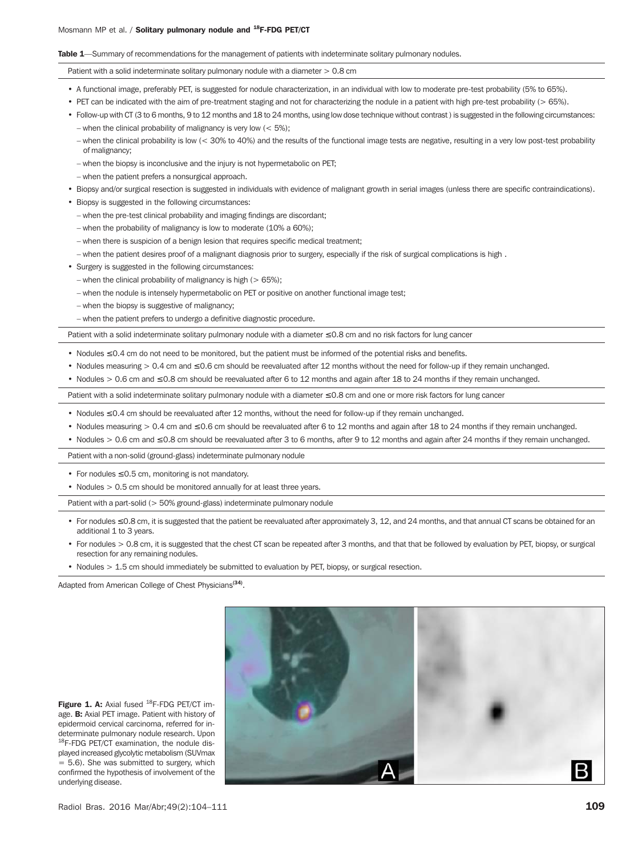#### Table 1—Summary of recommendations for the management of patients with indeterminate solitary pulmonary nodules.

Patient with a solid indeterminate solitary pulmonary nodule with a diameter  $> 0.8$  cm

- A functional image, preferably PET, is suggested for nodule characterization, in an individual with low to moderate pre-test probability (5% to 65%).
- PET can be indicated with the aim of pre-treatment staging and not for characterizing the nodule in a patient with high pre-test probability (> 65%).
- Follow-up with CT (3 to 6 months, 9 to 12 months and 18 to 24 months, using low dose technique without contrast ) is suggested in the following circumstances: – when the clinical probability of malignancy is very low  $(< 5\%)$ ;
	- when the clinical probability is low (< 30% to 40%) and the results of the functional image tests are negative, resulting in a very low post-test probability of malignancy;
	- when the biopsy is inconclusive and the injury is not hypermetabolic on PET;
	- when the patient prefers a nonsurgical approach.
- Biopsy and/or surgical resection is suggested in individuals with evidence of malignant growth in serial images (unless there are specific contraindications).
- Biopsy is suggested in the following circumstances:
	- when the pre-test clinical probability and imaging findings are discordant;
	- when the probability of malignancy is low to moderate (10% a 60%);
	- when there is suspicion of a benign lesion that requires specific medical treatment;
	- when the patient desires proof of a malignant diagnosis prior to surgery, especially if the risk of surgical complications is high .
- Surgery is suggested in the following circumstances:
	- when the clinical probability of malignancy is high ( $> 65\%$ );
	- when the nodule is intensely hypermetabolic on PET or positive on another functional image test;
	- when the biopsy is suggestive of malignancy;
	- when the patient prefers to undergo a definitive diagnostic procedure.

Patient with a solid indeterminate solitary pulmonary nodule with a diameter ≤ 0.8 cm and no risk factors for lung cancer

- Nodules ≤ 0.4 cm do not need to be monitored, but the patient must be informed of the potential risks and benefits.
- Nodules measuring > 0.4 cm and ≤ 0.6 cm should be reevaluated after 12 months without the need for follow-up if they remain unchanged.
- Nodules > 0.6 cm and ≤ 0.8 cm should be reevaluated after 6 to 12 months and again after 18 to 24 months if they remain unchanged.

Patient with a solid indeterminate solitary pulmonary nodule with a diameter ≤ 0.8 cm and one or more risk factors for lung cancer

- Nodules ≤ 0.4 cm should be reevaluated after 12 months, without the need for follow-up if they remain unchanged.
- Nodules measuring > 0.4 cm and ≤ 0.6 cm should be reevaluated after 6 to 12 months and again after 18 to 24 months if they remain unchanged.
- Nodules > 0.6 cm and ≤ 0.8 cm should be reevaluated after 3 to 6 months, after 9 to 12 months and again after 24 months if they remain unchanged.

Patient with a non-solid (ground-glass) indeterminate pulmonary nodule

- For nodules ≤ 0.5 cm, monitoring is not mandatory.
- Nodules > 0.5 cm should be monitored annually for at least three years.

Patient with a part-solid (> 50% ground-glass) indeterminate pulmonary nodule

- For nodules ≤ 0.8 cm, it is suggested that the patient be reevaluated after approximately 3, 12, and 24 months, and that annual CT scans be obtained for an additional 1 to 3 years.
- For nodules > 0.8 cm, it is suggested that the chest CT scan be repeated after 3 months, and that that be followed by evaluation by PET, biopsy, or surgical resection for any remaining nodules.
- Nodules > 1.5 cm should immediately be submitted to evaluation by PET, biopsy, or surgical resection.

Adapted from American College of Chest Physicians<sup>(34)</sup>.



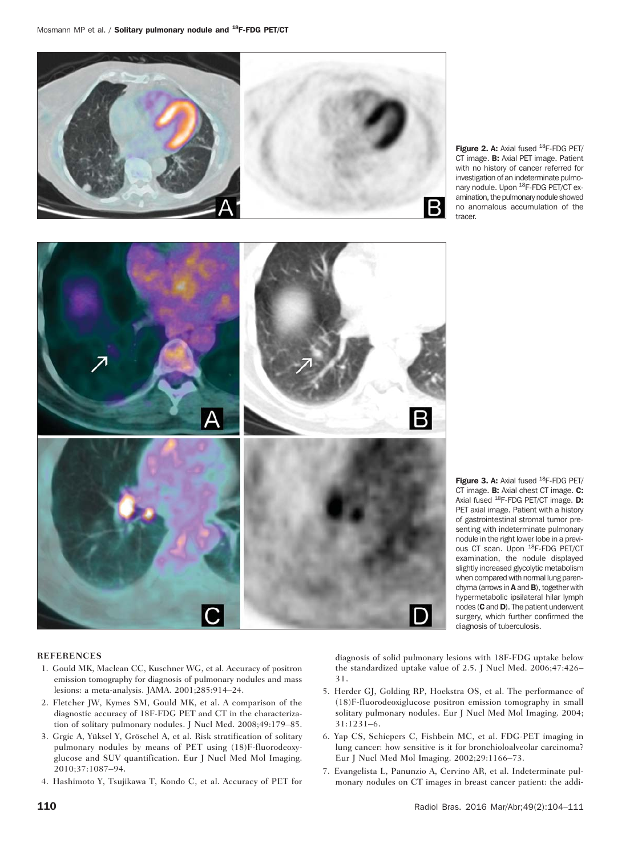



Figure 2. A: Axial fused <sup>18</sup>F-FDG PET/ CT image. **B:** Axial PET image. Patient with no history of cancer referred for investigation of an indeterminate pulmonary nodule. Upon <sup>18</sup>F-FDG PET/CT examination, the pulmonary nodule showed no anomalous accumulation of the tracer.

Figure 3. A: Axial fused <sup>18</sup>F-FDG PET/ CT image. **B:** Axial chest CT image. **C:** Axial fused <sup>18</sup>F-FDG PET/CT image. **D:** PET axial image. Patient with a history of gastrointestinal stromal tumor presenting with indeterminate pulmonary nodule in the right lower lobe in a previous CT scan. Upon <sup>18</sup>F-FDG PET/CT examination, the nodule displayed slightly increased glycolytic metabolism when compared with normal lung parenchyma (arrows in A and B), together with hypermetabolic ipsilateral hilar lymph nodes (C and D). The patient underwent surgery, which further confirmed the diagnosis of tuberculosis.

#### REFERENCES

- 1. Gould MK, Maclean CC, Kuschner WG, et al. Accuracy of positron emission tomography for diagnosis of pulmonary nodules and mass lesions: a meta-analysis. JAMA. 2001;285:914–24.
- 2. Fletcher JW, Kymes SM, Gould MK, et al. A comparison of the diagnostic accuracy of 18F-FDG PET and CT in the characterization of solitary pulmonary nodules. J Nucl Med. 2008;49:179–85.
- 3. Grgic A, Yüksel Y, Gröschel A, et al. Risk stratification of solitary pulmonary nodules by means of PET using (18)F-fluorodeoxyglucose and SUV quantification. Eur J Nucl Med Mol Imaging. 2010;37:1087–94.
- 4. Hashimoto Y, Tsujikawa T, Kondo C, et al. Accuracy of PET for

diagnosis of solid pulmonary lesions with 18F-FDG uptake below the standardized uptake value of 2.5. J Nucl Med. 2006;47:426– 31.

- 5. Herder GJ, Golding RP, Hoekstra OS, et al. The performance of (18)F-fluorodeoxiglucose positron emission tomography in small solitary pulmonary nodules. Eur J Nucl Med Mol Imaging. 2004; 31:1231–6.
- 6. Yap CS, Schiepers C, Fishbein MC, et al. FDG-PET imaging in lung cancer: how sensitive is it for bronchioloalveolar carcinoma? Eur J Nucl Med Mol Imaging. 2002;29:1166–73.
- 7. Evangelista L, Panunzio A, Cervino AR, et al. Indeterminate pulmonary nodules on CT images in breast cancer patient: the addi-